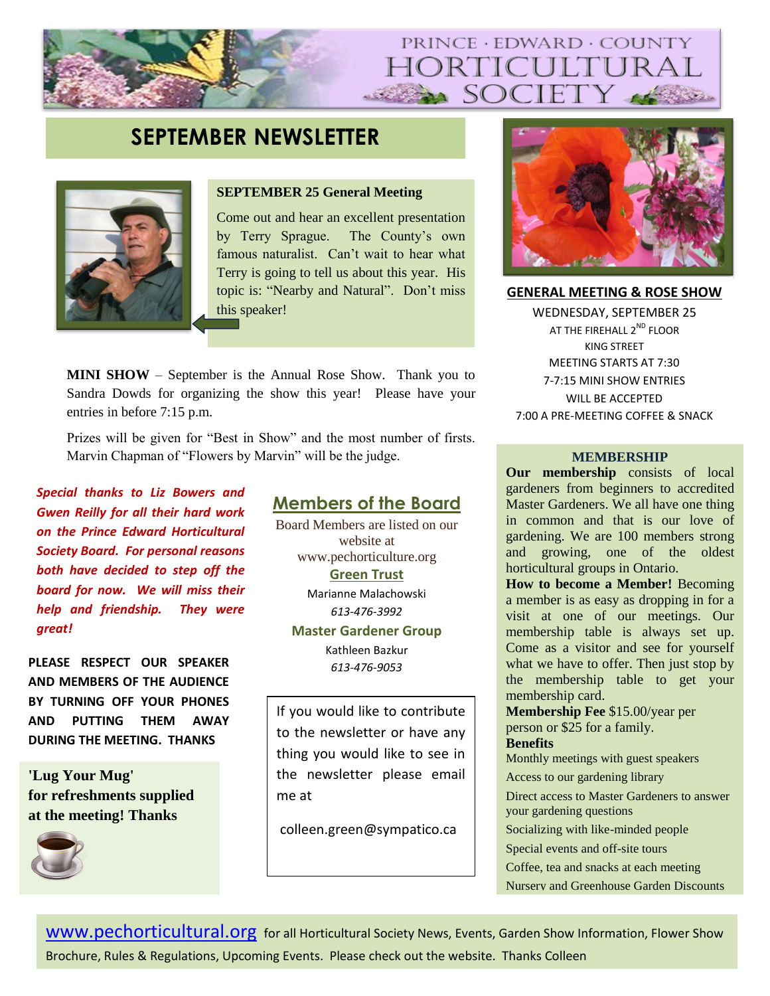# PRINCE · EDWARD · COUNTY IORTICULTUR SOCIETY

# **SEPTEMBER NEWSLETTER**



#### **SEPTEMBER 25 General Meeting**

Come out and hear an excellent presentation by Terry Sprague. The County's own famous naturalist. Can't wait to hear what Terry is going to tell us about this year. His topic is: "Nearby and Natural". Don't miss this speaker!

**MINI SHOW** – September is the Annual Rose Show. Thank you to Sandra Dowds for organizing the show this year! Please have your entries in before 7:15 p.m.

Prizes will be given for "Best in Show" and the most number of firsts. Marvin Chapman of "Flowers by Marvin" will be the judge. **MEMBERSHIP** 

*Special thanks to Liz Bowers and Gwen Reilly for all their hard work on the Prince Edward Horticultural Society Board. For personal reasons both have decided to step off the board for now. We will miss their help and friendship. They were great!*

*613-476-9053* **PLEASE RESPECT OUR SPEAKER AND MEMBERS OF THE AUDIENCE BY TURNING OFF YOUR PHONES AND PUTTING THEM AWAY DURING THE MEETING. THANKS**

**'Lug Your Mug' for refreshments supplied at the meeting! Thanks**



## **Members of the Board**

Board Members are listed on our website at www.pechorticulture.org **Green Trust** 

Marianne Malachowski

*613-476-3992*

## **Master Gardener Group**

Kathleen Bazkur

If you would like to contribute to the newsletter or have any thing you would like to see in the newsletter please email me at

colleen.green@sympatico.ca



**GENERAL MEETING & ROSE SHOW** WEDNESDAY, SEPTEMBER 25 AT THE FIREHALL 2<sup>ND</sup> FLOOR KING STREET MEETING STARTS AT 7:30 7-7:15 MINI SHOW ENTRIES WILL BE ACCEPTED 7:00 A PRE-MEETING COFFEE & SNACK

**Our membership** consists of local gardeners from beginners to accredited Master Gardeners. We all have one thing in common and that is our love of gardening. We are 100 members strong and growing, one of the oldest horticultural groups in Ontario.

**How to become a Member!** Becoming a member is as easy as dropping in for a visit at one of our meetings. Our membership table is always set up. Come as a visitor and see for yourself what we have to offer. Then just stop by the membership table to get your membership card.

**Membership Fee** \$15.00/year per person or \$25 for a family. **Benefits** 

Monthly meetings with guest speakers

Access to our gardening library

Direct access to Master Gardeners to answer

your gardening questions

Socializing with like-minded people

Special events and off-site tours

Coffee, tea and snacks at each meeting

Nursery and Greenhouse Garden Discounts

[www.pechorticultural.org](http://www.pechorticultural.org/) for all Horticultural Society News, Events, Garden Show Information, Flower Show Brochure, Rules & Regulations, Upcoming Events. Please check out the website. Thanks Colleen